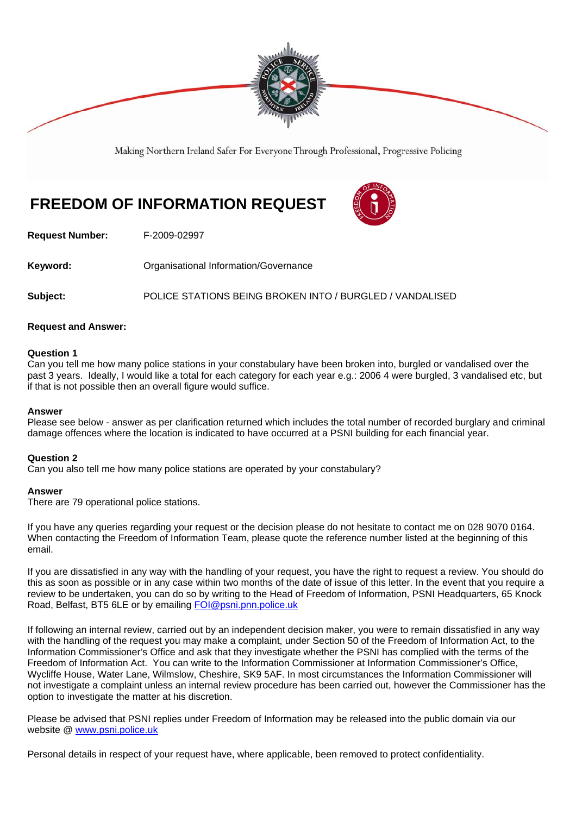

Making Northern Ireland Safer For Everyone Through Professional, Progressive Policing

# **FREEDOM OF INFORMATION REQUEST**



**Request Number:** F-2009-02997

**Keyword: Communistry Communistional Information/Governance** 

**Subject:** POLICE STATIONS BEING BROKEN INTO / BURGLED / VANDALISED

#### **Request and Answer:**

#### **Question 1**

Can you tell me how many police stations in your constabulary have been broken into, burgled or vandalised over the past 3 years. Ideally, I would like a total for each category for each year e.g.: 2006 4 were burgled, 3 vandalised etc, but if that is not possible then an overall figure would suffice.

#### **Answer**

Please see below - answer as per clarification returned which includes the total number of recorded burglary and criminal damage offences where the location is indicated to have occurred at a PSNI building for each financial year.

#### **Question 2**

Can you also tell me how many police stations are operated by your constabulary?

#### **Answer**

There are 79 operational police stations.

If you have any queries regarding your request or the decision please do not hesitate to contact me on 028 9070 0164. When contacting the Freedom of Information Team, please quote the reference number listed at the beginning of this email.

If you are dissatisfied in any way with the handling of your request, you have the right to request a review. You should do this as soon as possible or in any case within two months of the date of issue of this letter. In the event that you require a review to be undertaken, you can do so by writing to the Head of Freedom of Information, PSNI Headquarters, 65 Knock Road, Belfast, BT5 6LE or by emailing FOI@psni.pnn.police.uk

If following an internal review, carried out by an independent decision maker, you were to remain dissatisfied in any way with the handling of the request you may make a complaint, under Section 50 of the Freedom of Information Act, to the Information Commissioner's Office and ask that they investigate whether the PSNI has complied with the terms of the Freedom of Information Act. You can write to the Information Commissioner at Information Commissioner's Office, Wycliffe House, Water Lane, Wilmslow, Cheshire, SK9 5AF. In most circumstances the Information Commissioner will not investigate a complaint unless an internal review procedure has been carried out, however the Commissioner has the option to investigate the matter at his discretion.

Please be advised that PSNI replies under Freedom of Information may be released into the public domain via our website @ www.psni.police.uk

Personal details in respect of your request have, where applicable, been removed to protect confidentiality.